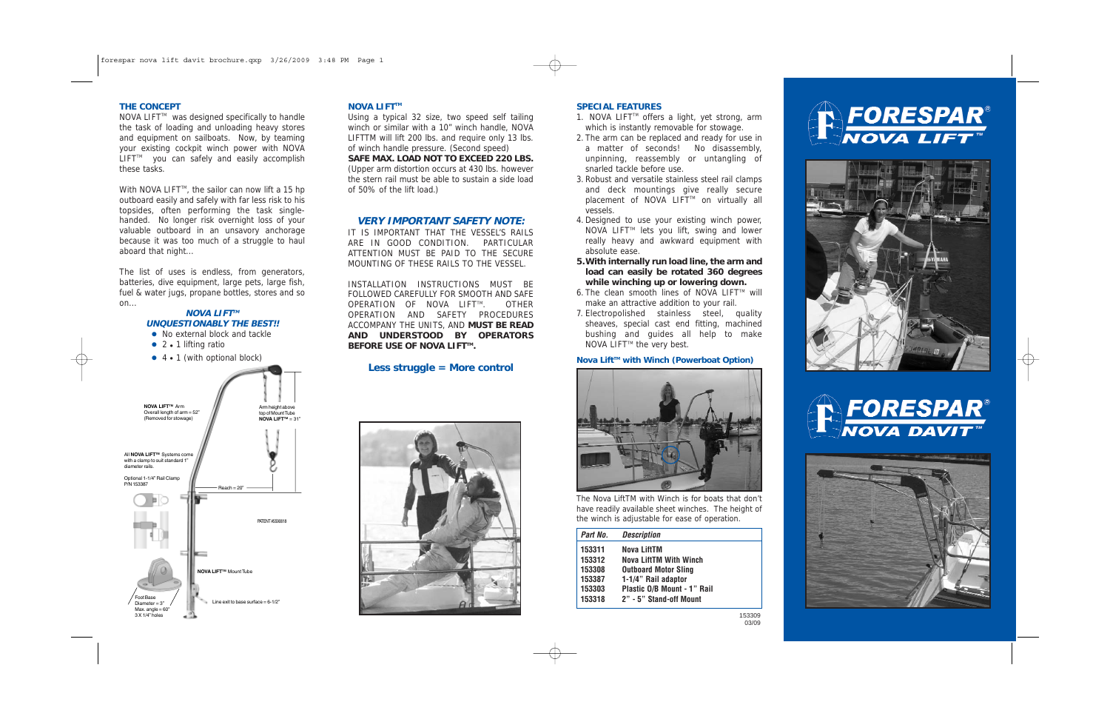# Arm height above top of Mount Tube **NOVA LIFT™** = 31" **NOVA LIFTTM** Arm Overall length of arm = 52" (Removed for stowage) Reach = 20" All **NOVA LIFTTM** Systems come with a clamp to suit standard 1" diameter rails. Optional 1-1/4" Rail Clamp P/N 153387 **NOVA LIFTTM** Mount Tube Foot Base PATENT #5590618 **NOVA LIFTTM UNQUESTIONABLY THE BEST!!** • No external block and tackle  $\bullet$  2  $\bullet$  1 lifting ratio  $\bullet$  4  $\bullet$  1 (with optional block)

Line exit to base surface  $= 6-1/2"$ Diameter = 3" Max. angle = 60°<br>3 X 1/4" holes

#### **NOVA LIFT™**

NOVA LIFT<sup>™</sup> was designed specifically to handle the task of loading and unloading heavy stores and equipment on sailboats. Now, by teaming your existing cockpit winch power with NOVA LIFT<sup>™</sup> you can safely and easily accomplish these tasks.

#### **THE CONCEPT**

With NOVA LIFT<sup>M</sup>, the sailor can now lift a 15 hp outboard easily and safely with far less risk to his topsides, often performing the task singlehanded. No longer risk overnight loss of your valuable outboard in an unsavory anchorage because it was too much of a struggle to haul aboard that night...

> INSTALLATION INSTRUCTIONS MUST BE FOLLOWED CAREFULLY FOR SMOOTH AND SAFE OPERATION OF NOVA LIFT™. OTHER OPERATION AND SAFETY PROCEDURES ACCOMPANY THE UNITS, AND **MUST BE READ AND UNDERSTOOD BY OPERATORS BEFORE USE OF NOVA LIFT™.**

The list of uses is endless, from generators, batteries, dive equipment, large pets, large fish, fuel & water jugs, propane bottles, stores and so on...

Using a typical 32 size, two speed self tailing winch or similar with a 10" winch handle, NOVA LIFTTM will lift 200 lbs. and require only 13 lbs. of winch handle pressure. (Second speed)

**SAFE MAX. LOAD NOT TO EXCEED 220 LBS.** (Upper arm distortion occurs at 430 lbs. however the stern rail must be able to sustain a side load of 50% of the lift load.)

## **VERY IMPORTANT SAFETY NOTE:**

IT IS IMPORTANT THAT THE VESSEL'S RAILS ARE IN GOOD CONDITION. PARTICULAR ATTENTION MUST BE PAID TO THE SECURE MOUNTING OF THESE RAILS TO THE VESSEL.

# **Less struggle = More control**



#### **SPECIAL FEATURES**

- 1. NOVA LIFT<sup>M</sup> offers a light, yet strong, arm which is instantly removable for stowage.
- 2. The arm can be replaced and ready for use in a matter of seconds! No disassembly, unpinning, reassembly or untangling of snarled tackle before use.
- 3. Robust and versatile stainless steel rail clamps and deck mountings give really secure placement of NOVA LIFT™ on virtually all vessels.
- 4. Designed to use your existing winch power, NOVA LIFT<sup> $M$ </sup> lets you lift, swing and lower really heavy and awkward equipment with absolute ease.
- **5.With internally run load line, the arm and load can easily be rotated 360 degrees while winching up or lowering down.**
- 6. The clean smooth lines of NOVA LIFT $M$  will make an attractive addition to your rail.
- 7. Electropolished stainless steel, quality sheaves, special cast end fitting, machined bushing and guides all help to make NOVA LIFT<sup>™</sup> the very best.

## Nova Lift<sup>™</sup> with Winch (Powerboat Option)



The Nova LiftTM with Winch is for boats that don't have readily available sheet winches. The height of the winch is adjustable for ease of operation.

| Part No. | <b>Description</b>            |  |
|----------|-------------------------------|--|
| 153311   | Nova LiftTM                   |  |
| 153312   | <b>Nova LiftTM With Winch</b> |  |
| 153308   | <b>Outboard Motor Sling</b>   |  |
| 153387   | 1-1/4" Rail adaptor           |  |
| 153303   | Plastic O/B Mount - 1" Rail   |  |
| 153318   | 2" - 5" Stand-off Mount       |  |
|          |                               |  |

153309 03/09